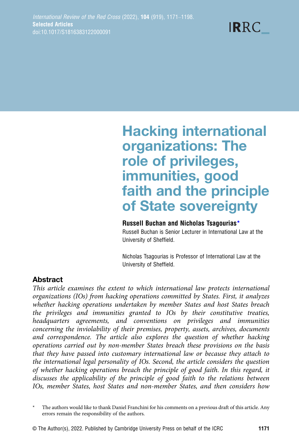# Hacking international organizations: The role of privileges, immunities, good faith and the principle of State sovereignty

# Russell Buchan and Nicholas Tsagourias\*

Russell Buchan is Senior Lecturer in International Law at the University of Sheffield.

Nicholas Tsagourias is Professor of International Law at the University of Sheffield.

# **Abstract**

This article examines the extent to which international law protects international organizations (IOs) from hacking operations committed by States. First, it analyzes whether hacking operations undertaken by member States and host States breach the privileges and immunities granted to IOs by their constitutive treaties, headquarters agreements, and conventions on privileges and immunities concerning the inviolability of their premises, property, assets, archives, documents and correspondence. The article also explores the question of whether hacking operations carried out by non-member States breach these provisions on the basis that they have passed into customary international law or because they attach to the international legal personality of IOs. Second, the article considers the question of whether hacking operations breach the principle of good faith. In this regard, it discusses the applicability of the principle of good faith to the relations between IOs, member States, host States and non-member States, and then considers how

The authors would like to thank Daniel Franchini for his comments on a previous draft of this article. Any errors remain the responsibility of the authors.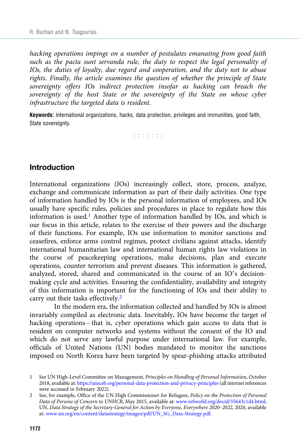hacking operations impinge on a number of postulates emanating from good faith such as the pacta sunt servanda rule, the duty to respect the legal personality of IOs, the duties of loyalty, due regard and cooperation, and the duty not to abuse rights. Finally, the article examines the question of whether the principle of State sovereignty offers IOs indirect protection insofar as hacking can breach the sovereignty of the host State or the sovereignty of the State on whose cyber infrastructure the targeted data is resident.

Keywords: international organizations, hacks, data protection, privileges and immunities, good faith, State sovereignty.

r r r r r r r

#### Introduction

International organizations (IOs) increasingly collect, store, process, analyze, exchange and communicate information as part of their daily activities. One type of information handled by IOs is the personal information of employees, and IOs usually have specific rules, policies and procedures in place to regulate how this information is used.<sup>1</sup> Another type of information handled by IOs, and which is our focus in this article, relates to the exercise of their powers and the discharge of their functions. For example, IOs use information to monitor sanctions and ceasefires, enforce arms control regimes, protect civilians against attacks, identify international humanitarian law and international human rights law violations in the course of peacekeeping operations, make decisions, plan and execute operations, counter terrorism and prevent diseases. This information is gathered, analyzed, stored, shared and communicated in the course of an IO's decisionmaking cycle and activities. Ensuring the confidentiality, availability and integrity of this information is important for the functioning of IOs and their ability to carry out their tasks effectively.<sup>2</sup>

In the modern era, the information collected and handled by IOs is almost invariably compiled as electronic data. Inevitably, IOs have become the target of hacking operations – that is, cyber operations which gain access to data that is resident on computer networks and systems without the consent of the IO and which do not serve any lawful purpose under international law. For example, officials of United Nations (UN) bodies mandated to monitor the sanctions imposed on North Korea have been targeted by spear-phishing attacks attributed

<sup>1</sup> See UN High-Level Committee on Management, Principles on Handling of Personal Information, October 2018, available at: <https://unsceb.org/personal-data-protection-and-privacy-principles> (all internet references were accessed in February 2022).

<sup>2</sup> See, for example, Office of the UN High Commissioner for Refugees, Policy on the Protection of Personal Data of Persons of Concern to UNHCR, May 2015, available at: [www.refworld.org/docid/55643c1d4.html;](https://www.refworld.org/docid/55643c1d4.html) UN, Data Strategy of the Secretary-General for Action by Everyone, Everywhere 2020–2022, 2020, available at: [www.un.org/en/content/datastrategy/images/pdf/UN\\_SG\\_Data-Strategy.pdf](https://www.un.org/en/content/datastrategy/images/pdf/UN_SG_Data-Strategy.pdf).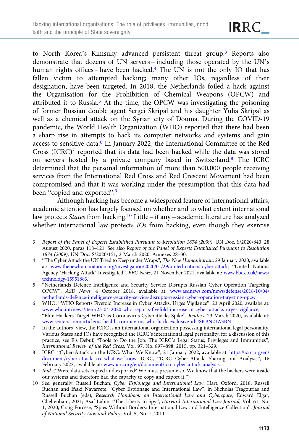to North Korea's Kimsuky advanced persistent threat group.<sup>3</sup> Reports also demonstrate that dozens of UN servers – including those operated by the UN's human rights offices – have been hacked.<sup>4</sup> The UN is not the only IO that has fallen victim to attempted hacking; many other IOs, regardless of their designation, have been targeted. In 2018, the Netherlands foiled a hack against the Organisation for the Prohibition of Chemical Weapons (OPCW) and attributed it to Russia.5 At the time, the OPCW was investigating the poisoning of former Russian double agent Sergei Skripal and his daughter Yulia Skripal as well as a chemical attack on the Syrian city of Douma. During the COVID-19 pandemic, the World Health Organization (WHO) reported that there had been a sharp rise in attempts to hack its computer networks and systems and gain access to sensitive data.6 In January 2022, the International Committee of the Red Cross  $(ICRC)^7$  reported that its data had been hacked while the data was stored on servers hosted by a private company based in Switzerland.8 The ICRC determined that the personal information of more than 500,000 people receiving services from the International Red Cross and Red Crescent Movement had been compromised and that it was working under the presumption that this data had been "copied and exported".<sup>9</sup>

Although hacking has become a widespread feature of international affairs, academic attention has largely focused on whether and to what extent international law protects States from hacking.<sup>10</sup> Little – if any – academic literature has analyzed whether international law protects IOs from hacking, even though they exercise

- 3 Report of the Panel of Experts Established Pursuant to Resolution 1874 (2009), UN Doc. S/2020/840, 28 August 2020, paras 118–121. See also Report of the Panel of Experts Established Pursuant to Resolution 1874 (2009), UN Doc. S/2020/151, 2 March 2020, Annexes 28–30.
- 4 "The Cyber Attack the UN Tried to Keep under Wraps", The New Humanitarian, 29 January 2020, available at: [www.thenewhumanitarian.org/investigation/2020/01/29/united-nations-cyber-attack](https://www.thenewhumanitarian.org/investigation/2020/01/29/united-nations-cyber-attack); "United Nations Agency 'Hacking Attack' Investigated", BBC News, 21 November 2021, available at: [www.bbc.co.uk/news/](https://www.bbc.co.uk/news/technology-15951883) [technology-15951883.](https://www.bbc.co.uk/news/technology-15951883)
- 5 "Netherlands Defence Intelligence and Security Service Disrupts Russian Cyber Operation Targeting OPCW", ASD News, 4 October 2018, available at: [www.asdnews.com/news/defense/2018/10/04/](https://www.asdnews.com/news/defense/2018/10/04/netherlands-defence-intelligence-security-service-disrupts-russian-cyber-operation-targeting-opcw) [netherlands-defence-intelligence-security-service-disrupts-russian-cyber-operation-targeting-opcw](https://www.asdnews.com/news/defense/2018/10/04/netherlands-defence-intelligence-security-service-disrupts-russian-cyber-operation-targeting-opcw).
- 6 WHO, "WHO Reports Fivefold Increase in Cyber Attacks, Urges Vigilance", 23 April 2020, availabe at: [www.who.int/news/item/23-04-2020-who-reports-fivefold-increase-in-cyber-attacks-urges-vigilance;](https://www.who.int/news/item/23-04-2020-who-reports-fivefold-increase-in-cyber-attacks-urges-vigilance) "Elite Hackers Target WHO as Coronavirus Cyberattacks Spike", Reuters, 23 March 2020, available at: [www.reuters.com/article/us-health-coronavirus-who-hack-exclusive-idUSKBN21A3BN.](https://www.reuters.com/article/us-health-coronavirus-who-hack-exclusive-idUSKBN21A3BN)
- 7 In the authors' view, the ICRC is an international organization possessing international legal personality. Various States and IOs have recognized the ICRC's international legal personality; for a discussion of this practice, see Els Debuf, "Tools to Do the Job: The ICRC's Legal Status, Privileges and Immunities", International Review of the Red Cross, Vol. 97, No. 897–898, 2015, pp. 321–329.
- 8 ICRC, "Cyber-Attack on the ICRC: What We Know", 21 January 2022, available at: [https://icrc.org/en/](https://icrc.org/en/document/cyber-attack-icrc-what-we-know) [document/cyber-attack-icrc-what-we-know](https://icrc.org/en/document/cyber-attack-icrc-what-we-know); ICRC, "ICRC Cyber-Attack: Sharing our Analysis", 16 February 2022, available at: [www.icrc.org/en/document/icrc-cyber-attack-analysis.](https://www.icrc.org/en/document/icrc-cyber-attack-analysis)
- 9 Ibid. ("Were data sets copied and exported? We must presume so. We know that the hackers were inside our systems and therefore had the capacity to copy and export it.")
- 10 See, generally, Russell Buchan, Cyber Espionage and International Law, Hart, Oxford, 2018; Russell Buchan and Iñaki Navarrete, "Cyber Espionage and International Law", in Nicholas Tsagourias and Russell Buchan (eds), Research Handbook on International Law and Cyberspace, Edward Elgar, Cheltenham, 2021; Asaf Lubin, "The Liberty to Spy", Harvard International Law Journal, Vol. 61, No. 1, 2020; Craig Forcese, "Spies Without Borders: International Law and Intelligence Collection", Journal of National Security Law and Policy, Vol. 5, No. 1, 2011.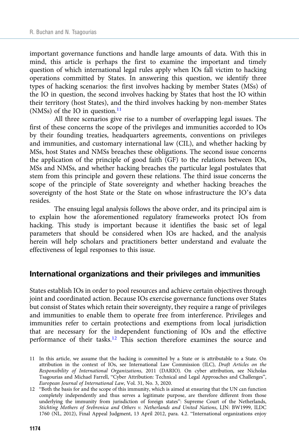important governance functions and handle large amounts of data. With this in mind, this article is perhaps the first to examine the important and timely question of which international legal rules apply when IOs fall victim to hacking operations committed by States. In answering this question, we identify three types of hacking scenarios: the first involves hacking by member States (MSs) of the IO in question, the second involves hacking by States that host the IO within their territory (host States), and the third involves hacking by non-member States (NMSs) of the IO in question. $11$ 

All three scenarios give rise to a number of overlapping legal issues. The first of these concerns the scope of the privileges and immunities accorded to IOs by their founding treaties, headquarters agreements, conventions on privileges and immunities, and customary international law (CIL), and whether hacking by MSs, host States and NMSs breaches these obligations. The second issue concerns the application of the principle of good faith (GF) to the relations between IOs, MSs and NMSs, and whether hacking breaches the particular legal postulates that stem from this principle and govern these relations. The third issue concerns the scope of the principle of State sovereignty and whether hacking breaches the sovereignty of the host State or the State on whose infrastructure the IO's data resides.

The ensuing legal analysis follows the above order, and its principal aim is to explain how the aforementioned regulatory frameworks protect IOs from hacking. This study is important because it identifies the basic set of legal parameters that should be considered when IOs are hacked, and the analysis herein will help scholars and practitioners better understand and evaluate the effectiveness of legal responses to this issue.

#### International organizations and their privileges and immunities

States establish IOs in order to pool resources and achieve certain objectives through joint and coordinated action. Because IOs exercise governance functions over States but consist of States which retain their sovereignty, they require a range of privileges and immunities to enable them to operate free from interference. Privileges and immunities refer to certain protections and exemptions from local jurisdiction that are necessary for the independent functioning of IOs and the effective performance of their tasks.<sup>12</sup> This section therefore examines the source and

<sup>11</sup> In this article, we assume that the hacking is committed by a State or is attributable to a State. On attribution in the context of IOs, see International Law Commission (ILC), Draft Articles on the Responsibility of International Organizations, 2011 (DARIO). On cyber attribution, see Nicholas Tsagourias and Michael Farrell, "Cyber Attribution: Technical and Legal Approaches and Challenges", European Journal of International Law, Vol. 31, No. 3, 2020.

<sup>12</sup> "Both the basis for and the scope of this immunity, which is aimed at ensuring that the UN can function completely independently and thus serves a legitimate purpose, are therefore different from those underlying the immunity from jurisdiction of foreign states": Supreme Court of the Netherlands, Stichting Mothers of Srebrenica and Others v. Netherlands and United Nations, LJN: BW1999, ILDC 1760 (NL, 2012), Final Appeal Judgment, 13 April 2012, para. 4.2. "International organizations enjoy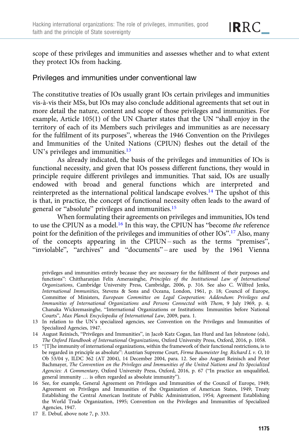scope of these privileges and immunities and assesses whether and to what extent they protect IOs from hacking.

### Privileges and immunities under conventional law

The constitutive treaties of IOs usually grant IOs certain privileges and immunities vis-à-vis their MSs, but IOs may also conclude additional agreements that set out in more detail the nature, content and scope of those privileges and immunities. For example, Article 105(1) of the UN Charter states that the UN "shall enjoy in the territory of each of its Members such privileges and immunities as are necessary for the fulfilment of its purposes", whereas the 1946 Convention on the Privileges and Immunities of the United Nations (CPIUN) fleshes out the detail of the UN's privileges and immunities.<sup>13</sup>

As already indicated, the basis of the privileges and immunities of IOs is functional necessity, and given that IOs possess different functions, they would in principle require different privileges and immunities. That said, IOs are usually endowed with broad and general functions which are interpreted and reinterpreted as the international political landscape evolves.14 The upshot of this is that, in practice, the concept of functional necessity often leads to the award of general or "absolute" privileges and immunities.<sup>15</sup>

When formulating their agreements on privileges and immunities, IOs tend to use the CPIUN as a model.<sup>16</sup> In this way, the CPIUN has "become the reference point for the definition of the privileges and immunities of other IOs".<sup>17</sup> Also, many of the concepts appearing in the CPIUN – such as the terms "premises", "inviolable", "archives" and "documents" – are used by the 1961 Vienna

- 13 In relation to the UN's specialized agencies, see Convention on the Privileges and Immunities of Specialized Agencies, 1947.
- 14 August Reinisch, "Privileges and Immunities", in Jacob Katz Cogan, Ian Hurd and Ian Johnstone (eds), The Oxford Handbook of International Organizations, Oxford University Press, Oxford, 2016, p. 1058.
- 15 "[T]he immunity of international organizations, within the framework of their functional restrictions, is to be regarded in principle as absolute": Austrian Supreme Court, Firma Baumeister Ing. Richard L v. O, 10 Ob 53/04 y, ILDC 362 (AT 2004), 14 December 2004, para. 12. See also August Reinisch and Peter Bachmayer, The Convention on the Privileges and Immunities of the United Nations and Its Specialized Agencies: A Commentary, Oxford University Press, Oxford, 2016, p. 67 ("In practice an unqualified, general immunity … is often regarded as absolute immunity").
- 16 See, for example, General Agreement on Privileges and Immunities of the Council of Europe, 1949; Agreement on Privileges and Immunities of the Organization of American States, 1949; Treaty Establishing the Central American Institute of Public Administration, 1954; Agreement Establishing the World Trade Organization, 1995; Convention on the Privileges and Immunities of Specialized Agencies, 1947.

17 E. Debuf, above note 7, p. 333.

privileges and immunities entirely because they are necessary for the fulfilment of their purposes and functions": Chittharanjan Felix Amerasinghe, Principles of the Institutional Law of International Organizations, Cambridge University Press, Cambridge, 2006, p. 316. See also C. Wilfred Jenks, International Immunities, Stevens & Sons and Oceana, London, 1961, p. 18; Council of Europe, Committee of Ministers, European Committee on Legal Cooperation: Addendum: Privileges and Immunities of International Organizations and Persons Connected with Them, 9 July 1969, p. 4; Chanaka Wickremasinghe, "International Organizations or Institutions: Immunities before National Courts", Max Planck Encyclopedia of International Law, 2009, para. 1.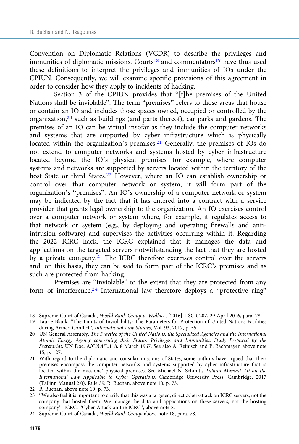Convention on Diplomatic Relations (VCDR) to describe the privileges and immunities of diplomatic missions. Courts<sup>18</sup> and commentators<sup>19</sup> have thus used these definitions to interpret the privileges and immunities of IOs under the CPIUN. Consequently, we will examine specific provisions of this agreement in order to consider how they apply to incidents of hacking.

Section 3 of the CPIUN provides that "[t]he premises of the United Nations shall be inviolable". The term "premises" refers to those areas that house or contain an IO and includes those spaces owned, occupied or controlled by the organization, $20$  such as buildings (and parts thereof), car parks and gardens. The premises of an IO can be virtual insofar as they include the computer networks and systems that are supported by cyber infrastructure which is physically located within the organization's premises.<sup>21</sup> Generally, the premises of IOs do not extend to computer networks and systems hosted by cyber infrastructure located beyond the IO's physical premises – for example, where computer systems and networks are supported by servers located within the territory of the host State or third States.22 However, where an IO can establish ownership or control over that computer network or system, it will form part of the organization's "premises". An IO's ownership of a computer network or system may be indicated by the fact that it has entered into a contract with a service provider that grants legal ownership to the organization. An IO exercises control over a computer network or system where, for example, it regulates access to that network or system (e.g., by deploying and operating firewalls and antiintrusion software) and supervises the activities occurring within it. Regarding the 2022 ICRC hack, the ICRC explained that it manages the data and applications on the targeted servers notwithstanding the fact that they are hosted by a private company.23 The ICRC therefore exercises control over the servers and, on this basis, they can be said to form part of the ICRC's premises and as such are protected from hacking.

Premises are "inviolable" to the extent that they are protected from any form of interference.<sup>24</sup> International law therefore deploys a "protective ring"

22 R. Buchan, above note 10, p. 73.

<sup>18</sup> Supreme Court of Canada, World Bank Group v. Wallace, [2016] 1 SCR 207, 29 April 2016, para. 78.

<sup>19</sup> Laurie Blank, "The Limits of Inviolability: The Parameters for Protection of United Nations Facilities during Armed Conflict", International Law Studies, Vol. 93, 2017, p. 55.

<sup>20</sup> UN General Assembly, The Practice of the United Nations, the Specialized Agencies and the International Atomic Energy Agency concerning their Status, Privileges and Immunities: Study Prepared by the Secretariat, UN Doc. A/CN.4/L.118, 8 March 1967. See also A. Reinisch and P. Bachmayer, above note 15, p. 127.

<sup>21</sup> With regard to the diplomatic and consular missions of States, some authors have argued that their premises encompass the computer networks and systems supported by cyber infrastructure that is located within the missions' physical premises. See Michael N. Schmitt, Tallinn Manual 2.0 on the International Law Applicable to Cyber Operations, Cambridge University Press, Cambridge, 2017 (Tallinn Manual 2.0), Rule 39; R. Buchan, above note 10, p. 73.

<sup>23</sup> "We also feel it is important to clarify that this was a targeted, direct cyber-attack on ICRC servers, not the company that hosted them. We manage the data and applications on these servers, not the hosting company": ICRC, "Cyber-Attack on the ICRC", above note 8.

<sup>24</sup> Supreme Court of Canada, World Bank Group, above note 18, para. 78.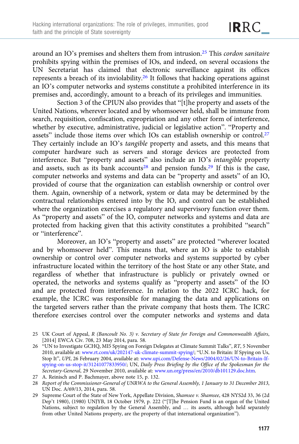around an IO's premises and shelters them from intrusion.25 This cordon sanitaire prohibits spying within the premises of IOs, and indeed, on several occasions the UN Secretariat has claimed that electronic surveillance against its offices represents a breach of its inviolability.26 It follows that hacking operations against an IO's computer networks and systems constitute a prohibited interference in its premises and, accordingly, amount to a breach of its privileges and immunities.

Section 3 of the CPIUN also provides that "[t]he property and assets of the United Nations, wherever located and by whomsoever held, shall be immune from search, requisition, confiscation, expropriation and any other form of interference, whether by executive, administrative, judicial or legislative action". "Property and assets" include those items over which IOs can establish ownership or control.27 They certainly include an IO's tangible property and assets, and this means that computer hardware such as servers and storage devices are protected from interference. But "property and assets" also include an IO's intangible property and assets, such as its bank accounts<sup>28</sup> and pension funds.<sup>29</sup> If this is the case, computer networks and systems and data can be "property and assets" of an IO, provided of course that the organization can establish ownership or control over them. Again, ownership of a network, system or data may be determined by the contractual relationships entered into by the IO, and control can be established where the organization exercises a regulatory and supervisory function over them. As "property and assets" of the IO, computer networks and systems and data are protected from hacking given that this activity constitutes a prohibited "search" or "interference".

Moreover, an IO's "property and assets" are protected "wherever located and by whomsoever held". This means that, where an IO is able to establish ownership or control over computer networks and systems supported by cyber infrastructure located within the territory of the host State or any other State, and regardless of whether that infrastructure is publicly or privately owned or operated, the networks and systems qualify as "property and assets" of the IO and are protected from interference. In relation to the 2022 ICRC hack, for example, the ICRC was responsible for managing the data and applications on the targeted servers rather than the private company that hosts them. The ICRC therefore exercises control over the computer networks and systems and data

<sup>25</sup> UK Court of Appeal, R (Bancoult No. 3) v. Secretary of State for Foreign and Commonwealth Affairs, [2014] EWCA Civ. 708, 23 May 2014, para. 58.

<sup>26</sup> "UN to Investigate GCHQ, MI5 Spying on Foreign Delegates at Climate Summit Talks", RT, 5 November 2010, available at: [www.rt.com/uk/202147-uk-climate-summit-spying/;](https://www.rt.com/uk/202147-uk-climate-summit-spying/) "U.N. to Britain: If Spying on Us, Stop It", UPI, 26 February 2004, available at: [www.upi.com/Defense-News/2004/02/26/UN-to-Britain-If](https://www.upi.com/Defense-News/2004/02/26/UN-to-Britain-If-spying-on-us-stop-it/31241077833950/)[spying-on-us-stop-it/31241077833950/;](https://www.upi.com/Defense-News/2004/02/26/UN-to-Britain-If-spying-on-us-stop-it/31241077833950/) UN, Daily Press Briefing by the Office of the Spokesman for the Secretary-General, 29 November 2010, available at: [www.un.org/press/en/2010/db101129.doc.htm.](https://www.un.org/press/en/2010/db101129.doc.htm)

<sup>27</sup> A. Reinisch and P. Bachmayer, above note 15, p. 132.

<sup>28</sup> Report of the Commissioner-General of UNRWA to the General Assembly, 1 January to 31 December 2013, UN Doc. A/69/13, 2014, para. 58.

<sup>29</sup> Supreme Court of the State of New York, Appellate Division, Shamsee v. Shamsee, 428 NYS2d 33, 36 (2d Dep't 1980), (1980) UNJYB, 18 October 1979, p. 222 ("[T]he Pension Fund is an organ of the United Nations, subject to regulation by the General Assembly, and … its assets, although held separately from other United Nations property, are the property of that international organization").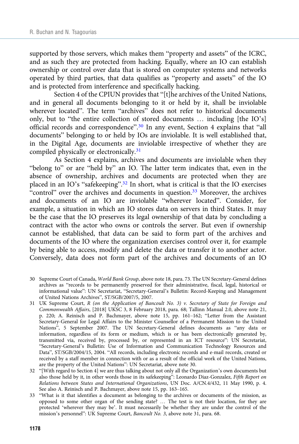supported by those servers, which makes them "property and assets" of the ICRC, and as such they are protected from hacking. Equally, where an IO can establish ownership or control over data that is stored on computer systems and networks operated by third parties, that data qualifies as "property and assets" of the IO and is protected from interference and specifically hacking.

Section 4 of the CPIUN provides that "[t]he archives of the United Nations, and in general all documents belonging to it or held by it, shall be inviolable wherever located". The term "archives" does not refer to historical documents only, but to "the entire collection of stored documents … including [the IO's] official records and correspondence".<sup>30</sup> In any event, Section 4 explains that "all documents" belonging to or held by IOs are inviolable. It is well established that, in the Digital Age, documents are inviolable irrespective of whether they are compiled physically or electronically.<sup>31</sup>

As Section 4 explains, archives and documents are inviolable when they "belong to" or are "held by" an IO. The latter term indicates that, even in the absence of ownership, archives and documents are protected when they are placed in an IO's "safekeeping".<sup>32</sup> In short, what is critical is that the IO exercises "control" over the archives and documents in question.<sup>33</sup> Moreover, the archives and documents of an IO are inviolable "wherever located". Consider, for example, a situation in which an IO stores data on servers in third States. It may be the case that the IO preserves its legal ownership of that data by concluding a contract with the actor who owns or controls the server. But even if ownership cannot be established, that data can be said to form part of the archives and documents of the IO where the organization exercises control over it, for example by being able to access, modify and delete the data or transfer it to another actor. Conversely, data does not form part of the archives and documents of an IO

- 30 Supreme Court of Canada, World Bank Group, above note 18, para. 73. The UN Secretary-General defines archives as "records to be permanently preserved for their administrative, fiscal, legal, historical or informational value": UN Secretariat, "Secretary-General's Bulletin: Record-Keeping and Management of United Nations Archives", ST/SGB/2007/5, 2007.
- 31 UK Supreme Court, R (on the Application of Bancoult No. 3) v. Secretary of State for Foreign and Commonwealth Affairs, [2018] UKSC 3, 8 February 2018, para. 68; Tallinn Manual 2.0, above note 21, p. 220; A. Reinisch and P. Bachmayer, above note 15, pp. 161–162; "Letter from the Assistant Secretary-General for Legal Affairs to the Minister Counsellor of a Permanent Mission to the United Nations", 5 September 2007. The UN Secretary-General defines documents as "any data or information, regardless of its form or medium, which is or has been electronically generated by, transmitted via, received by, processed by, or represented in an ICT resource": UN Secretariat, "Secretary-General's Bulletin: Use of Information and Communication Technology Resources and Data", ST/SGB/2004/15, 2004. "All records, including electronic records and e-mail records, created or received by a staff member in connection with or as a result of the official work of the United Nations, are the property of the United Nations": UN Secretariat, above note 30.
- 32 "[With regard to Section 4] we are thus talking about not only all the Organization's own documents but also those held by it, in other words those in its safekeeping": Leonardo Diaz-Gonzalez, Fifth Report on Relations between States and International Organizations, UN Doc. A/CN.4/432, 11 May 1990, p. 4. See also A. Reinisch and P. Bachmayer, above note 15, pp. 163–165.
- 33 "What is it that identifies a document as belonging to the archives or documents of the mission, as opposed to some other organ of the sending state? … The test is not their location, for they are protected 'wherever they may be'. It must necessarily be whether they are under the control of the mission's personnel": UK Supreme Court, Bancoult No. 3, above note 31, para. 68.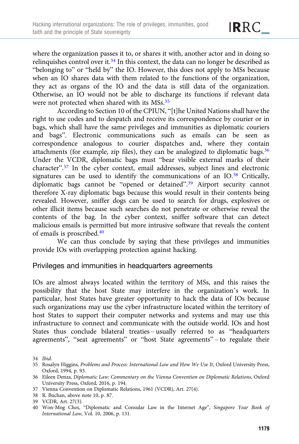where the organization passes it to, or shares it with, another actor and in doing so relinquishes control over it.<sup>34</sup> In this context, the data can no longer be described as "belonging to" or "held by" the IO. However, this does not apply to MSs because when an IO shares data with them related to the functions of the organization, they act as organs of the IO and the data is still data of the organization. Otherwise, an IO would not be able to discharge its functions if relevant data were not protected when shared with its MSs.<sup>35</sup>

According to Section 10 of the CPIUN, "[t]he United Nations shall have the right to use codes and to despatch and receive its correspondence by courier or in bags, which shall have the same privileges and immunities as diplomatic couriers and bags". Electronic communications such as emails can be seen as correspondence analogous to courier dispatches and, where they contain attachments (for example, zip files), they can be analogized to diplomatic bags.36 Under the VCDR, diplomatic bags must "bear visible external marks of their character".<sup>37</sup> In the cyber context, email addresses, subject lines and electronic signatures can be used to identify the communications of an IO.<sup>38</sup> Critically, diplomatic bags cannot be "opened or detained".<sup>39</sup> Airport security cannot therefore X-ray diplomatic bags because this would result in their contents being revealed. However, sniffer dogs can be used to search for drugs, explosives or other illicit items because such searches do not penetrate or otherwise reveal the contents of the bag. In the cyber context, sniffer software that can detect malicious emails is permitted but more intrusive software that reveals the content of emails is proscribed.40

We can thus conclude by saying that these privileges and immunities provide IOs with overlapping protection against hacking.

#### Privileges and immunities in headquarters agreements

IOs are almost always located within the territory of MSs, and this raises the possibility that the host State may interfere in the organization's work. In particular, host States have greater opportunity to hack the data of IOs because such organizations may use the cyber infrastructure located within the territory of host States to support their computer networks and systems and may use this infrastructure to connect and communicate with the outside world. IOs and host States thus conclude bilateral treaties – usually referred to as "headquarters agreements", "seat agreements" or "host State agreements" – to regulate their

- 37 Vienna Convention on Diplomatic Relations, 1961 (VCDR), Art. 27(4).
- 38 R. Buchan, above note 10, p. 87.
- 39 VCDR, Art. 27(3).
- 40 Won-Mog Choi, "Diplomatic and Consular Law in the Internet Age", Singapore Year Book of International Law, Vol. 10, 2006, p. 131.

IRRC\_

<sup>34</sup> Ibid.

<sup>35</sup> Rosalyn Higgins, Problems and Process: International Law and How We Use It, Oxford University Press, Oxford, 1994, p. 93.

<sup>36</sup> Eileen Denza, Diplomatic Law: Commentary on the Vienna Convention on Diplomatic Relations, Oxford University Press, Oxford, 2016, p. 194.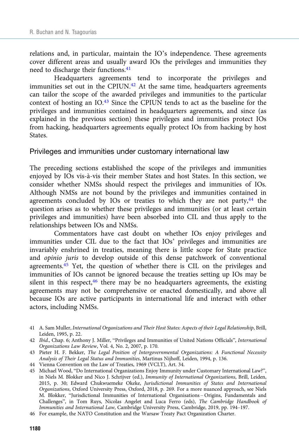relations and, in particular, maintain the IO's independence. These agreements cover different areas and usually award IOs the privileges and immunities they need to discharge their functions.<sup>41</sup>

Headquarters agreements tend to incorporate the privileges and immunities set out in the CPIUN.<sup>42</sup> At the same time, headquarters agreements can tailor the scope of the awarded privileges and immunities to the particular context of hosting an IO.<sup>43</sup> Since the CPIUN tends to act as the baseline for the privileges and immunities contained in headquarters agreements, and since (as explained in the previous section) these privileges and immunities protect IOs from hacking, headquarters agreements equally protect IOs from hacking by host States.

#### Privileges and immunities under customary international law

The preceding sections established the scope of the privileges and immunities enjoyed by IOs vis-à-vis their member States and host States. In this section, we consider whether NMSs should respect the privileges and immunities of IOs. Although NMSs are not bound by the privileges and immunities contained in agreements concluded by IOs or treaties to which they are not party, $44$  the question arises as to whether these privileges and immunities (or at least certain privileges and immunities) have been absorbed into CIL and thus apply to the relationships between IOs and NMSs.

Commentators have cast doubt on whether IOs enjoy privileges and immunities under CIL due to the fact that IOs' privileges and immunities are invariably enshrined in treaties, meaning there is little scope for State practice and opinio juris to develop outside of this dense patchwork of conventional agreements.45 Yet, the question of whether there is CIL on the privileges and immunities of IOs cannot be ignored because the treaties setting up IOs may be silent in this respect, $46$  there may be no headquarters agreements, the existing agreements may not be comprehensive or enacted domestically, and above all because IOs are active participants in international life and interact with other actors, including NMSs.

41 A. Sam Muller, International Organizations and Their Host States: Aspects of their Legal Relationship, Brill, Leiden, 1995, p. 22.

45 Michael Wood, "Do International Organizations Enjoy Immunity under Customary International Law?", in Niels M. Blokker and Nico J. Schrijver (ed.), Immunity of International Organizations, Brill, Leiden, 2015, p. 30; Edward Chukwuemeke Okeke, Jurisdictional Immunities of States and International Organizations, Oxford University Press, Oxford, 2018, p. 269. For a more nuanced approach, see Niels M. Blokker, "Jurisdictional Immunities of International Organisations – Origins, Fundamentals and Challenges", in Tom Ruys, Nicolas Angelet and Luca Ferro (eds), The Cambridge Handbook of Immunities and International Law, Cambridge University Press, Cambridge, 2019, pp. 194–197.

<sup>42</sup> Ibid., Chap. 6; Anthony J. Miller, "Privileges and Immunities of United Nations Officials", International Organizations Law Review, Vol. 4, No. 2, 2007, p. 170.

<sup>43</sup> Pieter H. F. Bekker, The Legal Position of Intergovernmental Organizations: A Functional Necessity Analysis of Their Legal Status and Immunities, Martinus Nijhoff, Leiden, 1994, p. 136.

<sup>44</sup> Vienna Convention on the Law of Treaties, 1969 (VCLT), Art. 34.

<sup>46</sup> For example, the NATO Constitution and the Warsaw Treaty Pact Organization Charter.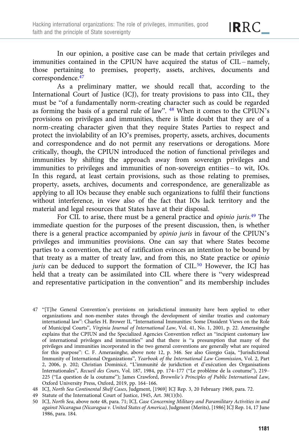In our opinion, a positive case can be made that certain privileges and immunities contained in the CPIUN have acquired the status of CIL – namely, those pertaining to premises, property, assets, archives, documents and correspondence.47

As a preliminary matter, we should recall that, according to the International Court of Justice (ICJ), for treaty provisions to pass into CIL, they must be "of a fundamentally norm-creating character such as could be regarded as forming the basis of a general rule of law". <sup>48</sup> When it comes to the CPIUN's provisions on privileges and immunities, there is little doubt that they are of a norm-creating character given that they require States Parties to respect and protect the inviolability of an IO's premises, property, assets, archives, documents and correspondence and do not permit any reservations or derogations. More critically, though, the CPIUN introduced the notion of functional privileges and immunities by shifting the approach away from sovereign privileges and immunities to privileges and immunities of non-sovereign entities – to wit, IOs. In this regard, at least certain provisions, such as those relating to premises, property, assets, archives, documents and correspondence, are generalizable as applying to all IOs because they enable such organizations to fulfil their functions without interference, in view also of the fact that IOs lack territory and the material and legal resources that States have at their disposal.

For CIL to arise, there must be a general practice and opinio juris.<sup>49</sup> The immediate question for the purposes of the present discussion, then, is whether there is a general practice accompanied by opinio juris in favour of the CPIUN's privileges and immunities provisions. One can say that where States become parties to a convention, the act of ratification evinces an intention to be bound by that treaty as a matter of treaty law, and from this, no State practice or opinio juris can be deduced to support the formation of CIL. $50$  However, the ICJ has held that a treaty can be assimilated into CIL where there is "very widespread and representative participation in the convention" and its membership includes

- 47 "[T]he General Convention's provisions on jurisdictional immunity have been applied to other organizations and non-member states through the development of similar treaties and customary international law": Charles H. Brower II, "International Immunities: Some Dissident Views on the Role of Municipal Courts", Virginia Journal of International Law, Vol. 41, No. 1, 2001, p. 22. Amerasinghe explains that the CPIUN and the Specialized Agencies Convention reflect an "incipient customary law of international privileges and immunities" and that there is "a presumption that many of the privileges and immunities incorporated in the two general conventions are generally what are required for this purpose": C. F. Amerasinghe, above note 12, p. 346. See also Giorgio Gaja, "Jurisdictional Immunity of International Organizations", Yearbook of the International Law Commission, Vol. 2, Part 2, 2006, p. 202; Christian Dominicé, "L'immunité de juridiction et d'exécution des Organisations Internationales", Recueil des Cours, Vol. 187, 1984, pp. 174–177 ("Le probléme de la coutume"), 219– 225 ("La question de la coutume"); James Crawford, Brownlie's Principles of Public International Law, Oxford University Press, Oxford, 2019, pp. 164–166.
- 48 ICJ, North Sea Continental Shelf Cases, Judgment, [1969] ICJ Rep. 3, 20 February 1969, para. 72.
- 49 Statute of the International Court of Justice, 1945, Art. 38(1)(b).
- 50 ICJ, North Sea, above note 48, para. 71; ICJ, Case Concerning Military and Paramilitary Activities in and against Nicaragua (Nicaragua v. United States of America), Judgment (Merits), [1986] ICJ Rep. 14, 17 June 1986, para. 184.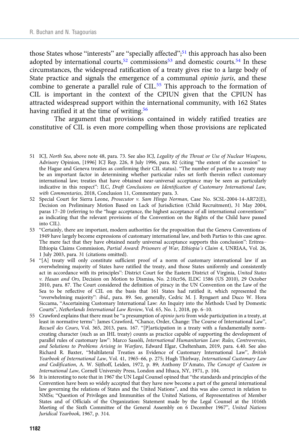those States whose "interests" are "specially affected";<sup>51</sup> this approach has also been adopted by international courts,<sup>52</sup> commissions<sup>53</sup> and domestic courts.<sup>54</sup> In these circumstances, the widespread ratification of a treaty gives rise to a large body of State practice and signals the emergence of a communal opinio juris, and these combine to generate a parallel rule of CIL.<sup>55</sup> This approach to the formation of CIL is important in the context of the CPIUN given that the CPIUN has attracted widespread support within the international community, with 162 States having ratified it at the time of writing.<sup>56</sup>

The argument that provisions contained in widely ratified treaties are constitutive of CIL is even more compelling when those provisions are replicated

- 51 ICJ, North Sea, above note 48, para. 73. See also ICJ, Legality of the Threat or Use of Nuclear Weapons, Advisory Opinion, [1996] ICJ Rep. 226, 8 July 1996, para. 82 (citing "the extent of the accession" to the Hague and Geneva treaties as confirming their CIL status). "The number of parties to a treaty may be an important factor in determining whether particular rules set forth therein reflect customary international law; treaties that have obtained near-universal acceptance may be seen as particularly indicative in this respect": ILC, Draft Conclusions on Identification of Customary International Law, with Commentaries, 2018, Conclusion 11, Commentary para. 3.
- 52 Special Court for Sierra Leone, Prosecutor v. Sam Hinga Norman, Case No. SCSL-2004-14-AR72(E), Decision on Preliminary Motion Based on Lack of Jurisdiction (Child Recruitment), 31 May 2004, paras 17–20 (referring to the "huge acceptance, the highest acceptance of all international conventions" as indicating that the relevant provisions of the Convention on the Rights of the Child have passed into CIL).
- 53 "Certainly, there are important, modern authorities for the proposition that the Geneva Conventions of 1949 have largely become expressions of customary international law, and both Parties to this case agree. The mere fact that they have obtained nearly universal acceptance supports this conclusion": Eritrea– Ethiopia Claims Commission, Partial Award: Prisoners of War, Ethiopia's Claim 4, UNRIAA, Vol. 26, 1 July 2003, para. 31 (citations omitted).
- 54 "[A] treaty will only constitute sufficient proof of a norm of customary international law if an overwhelming majority of States have ratified the treaty, and those States uniformly and consistently act in accordance with its principles": District Court for the Eastern District of Virginia, United States v. Hasan and Ors, Decision on Motion to Dismiss, No. 2:10cr56, ILDC 1586 (US 2010), 29 October 2010, para. 87. The Court considered the definition of piracy in the UN Convention on the Law of the Sea to be reflective of CIL on the basis that 161 States had ratified it, which represented the "overwhelming majority": ibid., para. 89. See, generally, Cedric M. J. Ryngaert and Duco W. Hora Siccama, "Ascertaining Customary International Law: An Inquiry into the Methods Used by Domestic Courts", Netherlands International Law Review, Vol. 65, No. 1, 2018, pp. 6–10.
- 55 Crawford explains that there must be "a presumption of opinio juris from wide participation in a treaty, at least in normative terms": James Crawford, "Chance, Order, Change: The Course of International Law", Recueil des Cours, Vol. 365, 2013, para. 167. "[P]articipation in a treaty with a fundamentally normcreating character (such as an IHL treaty) counts as practice capable of supporting the development of parallel rules of customary law": Marco Sassòli, International Humanitarian Law: Rules, Controversies, and Solutions to Problems Arising in Warfare, Edward Elgar, Cheltenham, 2019, para. 4.40. See also Richard R. Baxter, "Multilateral Treaties as Evidence of Customary International Law", British Yearbook of International Law, Vol. 41, 1965–66, p. 275; Hugh Thirlway, International Customary Law and Codification, A. W. Sijthoff, Leiden, 1972, p. 89; Anthony D'Amato, The Concept of Custom in International Law, Cornell University Press, London and Ithaca, NY, 1971, p. 104.
- 56 It is interesting to note that in 1967 the UN Legal Counsel opined that "the standards and principles of the Convention have been so widely accepted that they have now become a part of the general international law governing the relations of States and the United Nations", and this was also correct in relation to NMSs; "Question of Privileges and Immunities of the United Nations, of Representatives of Member States and of Officials of the Organization: Statement made by the Legal Counsel at the 1016th Meeting of the Sixth Committee of the General Assembly on 6 December 1967", United Nations Juridical Yearbook, 1967, p. 314.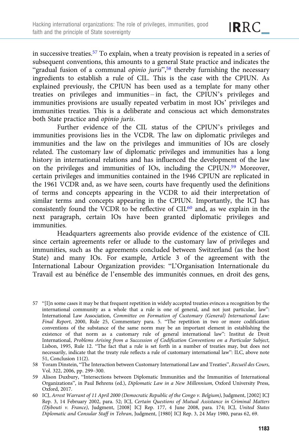in successive treaties.<sup>57</sup> To explain, when a treaty provision is repeated in a series of subsequent conventions, this amounts to a general State practice and indicates the "gradual fusion of a communal *opinio juris*",<sup>58</sup> thereby furnishing the necessary ingredients to establish a rule of CIL. This is the case with the CPIUN. As explained previously, the CPIUN has been used as a template for many other treaties on privileges and immunities – in fact, the CPIUN's privileges and immunities provisions are usually repeated verbatim in most IOs' privileges and immunities treaties. This is a deliberate and conscious act which demonstrates both State practice and opinio juris.

Further evidence of the CIL status of the CPIUN's privileges and immunities provisions lies in the VCDR. The law on diplomatic privileges and immunities and the law on the privileges and immunities of IOs are closely related. The customary law of diplomatic privileges and immunities has a long history in international relations and has influenced the development of the law on the privileges and immunities of IOs, including the CPIUN.59 Moreover, certain privileges and immunities contained in the 1946 CPIUN are replicated in the 1961 VCDR and, as we have seen, courts have frequently used the definitions of terms and concepts appearing in the VCDR to aid their interpretation of similar terms and concepts appearing in the CPIUN. Importantly, the ICJ has consistently found the VCDR to be reflective of  $\text{CIL}^{60}$  and, as we explain in the next paragraph, certain IOs have been granted diplomatic privileges and immunities.

Headquarters agreements also provide evidence of the existence of CIL since certain agreements refer or allude to the customary law of privileges and immunities, such as the agreements concluded between Switzerland (as the host State) and many IOs. For example, Article 3 of the agreement with the International Labour Organization provides: "L'Organisation Internationale du Travail est au bénéfice de l'ensemble des immunités connues, en droit des gens,

<sup>57</sup> "[I]n some cases it may be that frequent repetition in widely accepted treaties evinces a recognition by the international community as a whole that a rule is one of general, and not just particular, law": International Law Association, Committee on Formation of Customary (General) International Law: Final Report, 2000, Rule 25, Commentary para. 5. "The repetition in two or more codification conventions of the substance of the same norm may be an important element in establishing the existence of that norm as a customary rule of general international law": Institut de Droit International, Problems Arising from a Succession of Codification Conventions on a Particular Subject, Lisbon, 1995, Rule 12. "The fact that a rule is set forth in a number of treaties may, but does not necessarily, indicate that the treaty rule reflects a rule of customary international law": ILC, above note 51, Conclusion 11(2).

<sup>58</sup> Yoram Dinstein, "The Interaction between Customary International Law and Treaties", Recueil des Cours, Vol. 322, 2006, pp. 299–300.

<sup>59</sup> Alison Duxbury, "Intersections between Diplomatic Immunities and the Immunities of International Organizations", in Paul Behrens (ed.), Diplomatic Law in a New Millennium, Oxford University Press, Oxford, 2017.

<sup>60</sup> ICJ, Arrest Warrant of 11 April 2000 (Democratic Republic of the Congo v. Belgium), Judgment, [2002] ICJ Rep. 3, 14 February 2002, para. 52; ICJ, Certain Questions of Mutual Assistance in Criminal Matters (Djibouti v. France), Judgment, [2008] ICJ Rep. 177, 4 June 2008, para. 174; ICJ, United States Diplomatic and Consular Staff in Tehran, Judgment, [1980] ICJ Rep. 3, 24 May 1980, paras 62, 69.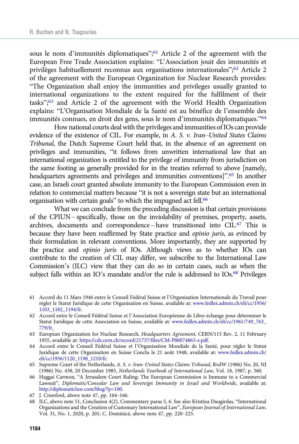sous le nom d'immunités diplomatiques";<sup>61</sup> Article 2 of the agreement with the European Free Trade Association explains: "L'Association jouit des immunités et privilèges habituellement reconnus aux organisations internationales"; <sup>62</sup> Article 2 of the agreement with the European Organization for Nuclear Research provides: "The Organization shall enjoy the immunities and privileges usually granted to international organizations to the extent required for the fulfilment of their tasks";<sup>63</sup> and Article 2 of the agreement with the World Health Organization explains: "L'Organisation Mondiale de la Santé est au bénéfice de l'ensemble des immunités connues, en droit des gens, sous le nom d'immunités diplomatiques."<sup>64</sup>

How national courts deal with the privileges and immunities of IOs can provide evidence of the existence of CIL. For example, in A. S. v. Iran–United States Claims Tribunal, the Dutch Supreme Court held that, in the absence of an agreement on privileges and immunities, "it follows from unwritten international law that an international organization is entitled to the privilege of immunity from jurisdiction on the same footing as generally provided for in the treaties referred to above [namely, headquarters agreements and privileges and immunities conventions]".<sup>65</sup> In another case, an Israeli court granted absolute immunity to the European Commission even in relation to commercial matters because "it is not a sovereign state but an international organisation with certain goals" to which the impugned act fell.<sup>66</sup>

What we can conclude from the preceding discussion is that certain provisions of the CPIUN – specifically, those on the inviolability of premises, property, assets, archives, documents and correspondence – have transitioned into CIL.67 This is because they have been reaffirmed by State practice and opinio juris, as evinced by their formulation in relevant conventions. More importantly, they are supported by the practice and opinio juris of IOs. Although views as to whether IOs can contribute to the creation of CIL may differ, we subscribe to the International Law Commission's (ILC) view that they can do so in certain cases, such as when the subject falls within an IO's mandate and/or the rule is addressed to IOs.<sup>68</sup> Privileges

- 61 Accord du 11 Mars 1946 entre le Conseil Fédéral Suisse et l'Organisation Internationale du Travail pour régler le Statut Juridique de cette Organisation en Suisse, available at: [www.fedlex.admin.ch/eli/cc/1956/](https://www.fedlex.admin.ch/eli/cc/1956/1103_1182_1194/fr) [1103\\_1182\\_1194/fr](https://www.fedlex.admin.ch/eli/cc/1956/1103_1182_1194/fr).
- 62 Accord entre le Conseil Fédéral Suisse et l'Association Européenne de Libre-échange pour déterminer le Statut Juridique de cette Association en Suisse, available at: [www.fedlex.admin.ch/eli/cc/1961/749\\_763\\_](https://www.fedlex.admin.ch/eli/cc/1961/749_763_779/fr) [779/fr.](https://www.fedlex.admin.ch/eli/cc/1961/749_763_779/fr)
- 63 European Organization for Nuclear Research, Headquarters Agreement, CERN/115 Rev. 2, 11 February 1955, available at: [https://cds.cern.ch/record/21737/files/CM-P00074863-e.pdf.](https://cds.cern.ch/record/21737/files/CM-P00074863-e.pdf)
- 64 Accord entre le Conseil Fédéral Suisse et l'Organisation Mondiale de la Santé, pour régler le Statut Juridique de cette Organisation en Suisse Conclu le 21 août 1948, available at: [www.fedlex.admin.ch/](https://www.fedlex.admin.ch/eli/cc/1956/1120_1198_1210/fr) [eli/cc/1956/1120\\_1198\\_1210/fr](https://www.fedlex.admin.ch/eli/cc/1956/1120_1198_1210/fr).
- 65 Supreme Court of the Netherlands, A. S. v. Iran–United States Claims Tribunal, RvdW (1986) No. 20, NJ (1986) No. 438, 20 December 1985, Netherlands Yearbook of International Law, Vol. 18, 1987, p. 360.
- 66 Haggai Carmon, "A Jerusalem Court Ruling: The European Commission is Immune to a Commercial Lawsuit", Diplomatic/Consular Law and Sovereign Immunity in Israel and Worldwide, available at: <http://diplomaticlaw.com/blog/?p=100>.
- 67 J. Crawford, above note 47, pp. 164–166.
- 68 ILC, above note 51, Conclusion 4(2), Commentary paras 5, 6. See also Kristina Daugirdas, "International Organizations and the Creation of Customary International Law", European Journal of International Law, Vol. 31, No. 1, 2020, p. 201; C. Dominicé, above note 47, pp. 220–225.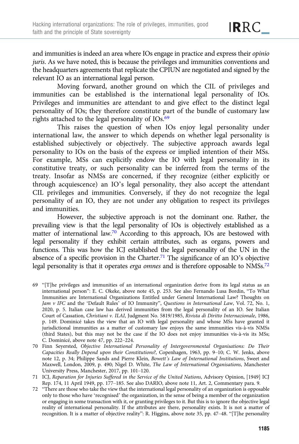and immunities is indeed an area where IOs engage in practice and express their opinio juris. As we have noted, this is because the privileges and immunities conventions and the headquarters agreements that replicate the CPIUN are negotiated and signed by the

IRRC\_

relevant IO as an international legal person.

Moving forward, another ground on which the CIL of privileges and immunities can be established is the international legal personality of IOs. Privileges and immunities are attendant to and give effect to the distinct legal personality of IOs; they therefore constitute part of the bundle of customary law rights attached to the legal personality of IOs.69

This raises the question of when IOs enjoy legal personality under international law, the answer to which depends on whether legal personality is established subjectively or objectively. The subjective approach awards legal personality to IOs on the basis of the express or implied intention of their MSs. For example, MSs can explicitly endow the IO with legal personality in its constitutive treaty, or such personality can be inferred from the terms of the treaty. Insofar as NMSs are concerned, if they recognize (either explicitly or through acquiescence) an IO's legal personality, they also accept the attendant CIL privileges and immunities. Conversely, if they do not recognize the legal personality of an IO, they are not under any obligation to respect its privileges and immunities.

However, the subjective approach is not the dominant one. Rather, the prevailing view is that the legal personality of IOs is objectively established as a matter of international law.<sup>70</sup> According to this approach, IOs are bestowed with legal personality if they exhibit certain attributes, such as organs, powers and functions. This was how the ICJ established the legal personality of the UN in the absence of a specific provision in the Charter.<sup>71</sup> The significance of an IO's objective legal personality is that it operates erga omnes and is therefore opposable to NMSs.<sup>72</sup>

69 "[T]he privileges and immunities of an international organization derive from its legal status as an international person": E. C. Okeke, above note 45, p. 253. See also Fernando Lusa Bordin, "To What Immunities are International Organizations Entitled under General International Law? Thoughts on Jam v IFC and the 'Default Rules' of IO Immunity", Questions in International Law, Vol. 72, No. 1, 2020, p. 5. Italian case law has derived immunities from the legal personality of an IO. See Italian Court of Cassation, Christiani v. ILAI, Judgment No. 5819/1985, Rivista di Diritto Internazionale, 1986, p. 149. Dominicé takes the view that an IO with legal personality and whose MSs have granted it jurisdictional immunities as a matter of customary law enjoys the same immunities vis-à-vis NMSs (third States), but this may not be the case if the IO does not enjoy immunities vis-à-vis its MSs; C. Dominicé, above note 47, pp. 222–224.

70 Finn Seyersted, Objective International Personality of Intergovernmental Organisations: Do Their Capacities Really Depend upon their Constitutions?, Copenhagen, 1963, pp. 9–10; C. W. Jenks, above note 12, p. 34; Philippe Sands and Pierre Klein, Bowett's Law of International Institutions, Sweet and Maxwell, London, 2009, p. 490; Nigel D. White, The Law of International Organisations, Manchester University Press, Manchester, 2017, pp. 101–120.

71 ICJ, Reparation for Injuries Suffered in the Service of the United Nations, Advisory Opinion, [1949] ICJ Rep. 174, 11 April 1949, pp. 177–185. See also DARIO, above note 11, Art. 2, Commentary para. 9.

72 "There are those who take the view that the international legal personality of an organization is opposable only to those who have 'recognised' the organization, in the sense of being a member of the organization or engaging in some transaction with it, or granting privileges to it. But this is to ignore the objective legal reality of international personality. If the attributes are there, personality exists. It is not a matter of recognition. It is a matter of objective reality": R. Higgins, above note 35, pp. 47–48. "[T]he personality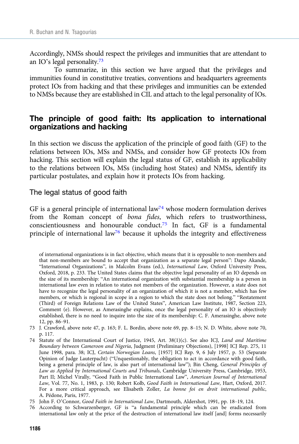Accordingly, NMSs should respect the privileges and immunities that are attendant to an IO's legal personality.73

To summarize, in this section we have argued that the privileges and immunities found in constitutive treaties, conventions and headquarters agreements protect IOs from hacking and that these privileges and immunities can be extended to NMSs because they are established in CIL and attach to the legal personality of IOs.

# The principle of good faith: Its application to international organizations and hacking

In this section we discuss the application of the principle of good faith (GF) to the relations between IOs, MSs and NMSs, and consider how GF protects IOs from hacking. This section will explain the legal status of GF, establish its applicability to the relations between IOs, MSs (including host States) and NMSs, identify its particular postulates, and explain how it protects IOs from hacking.

#### The legal status of good faith

GF is a general principle of international law<sup>74</sup> whose modern formulation derives from the Roman concept of bona fides, which refers to trustworthiness, conscientiousness and honourable conduct.<sup>75</sup> In fact, GF is a fundamental principle of international law<sup>76</sup> because it upholds the integrity and effectiveness

of international organizations is in fact objective, which means that it is opposable to non-members and that non-members are bound to accept that organization as a separate legal person": Dapo Akande, "International Organizations", in Malcolm Evans (ed.), International Law, Oxford University Press, Oxford, 2018, p. 233. The United States claims that the objective legal personality of an IO depends on the size of its membership: "An international organization with substantial membership is a person in international law even in relation to states not members of the organization. However, a state does not have to recognize the legal personality of an organization of which it is not a member, which has few members, or which is regional in scope in a region to which the state does not belong." "Restatement (Third) of Foreign Relations Law of the United States", American Law Institute, 1987, Section 223, Comment (e). However, as Amerasinghe explains, once the legal personality of an IO is objectively established, there is no need to inquire into the size of its membership: C. F. Amerasinghe, above note 12, pp. 86–91.

<sup>73</sup> J. Crawford, above note 47, p. 163; F. L. Bordin, above note 69, pp. 8–15; N. D. White, above note 70, p. 117.

<sup>74</sup> Statute of the International Court of Justice, 1945, Art. 38(1)(c). See also ICJ, Land and Maritime Boundary between Cameroon and Nigeria, Judgment (Preliminary Objections), [1998] ICJ Rep. 275, 11 June 1998, para. 38; ICJ, Certain Norwegian Loans, [1957] ICJ Rep. 9, 6 July 1957, p. 53 (Separate Opinion of Judge Lauterpacht) ("Unquestionably, the obligation to act in accordance with good faith, being a general principle of law, is also part of international law"); Bin Cheng, General Principles of Law as Applied by International Courts and Tribunals, Cambridge University Press, Cambridge, 1953, Part II; Michel Virally, "Good Faith in Public International Law", American Journal of International Law, Vol. 77, No. 1, 1983, p. 130; Robert Kolb, Good Faith in International Law, Hart, Oxford, 2017. For a more critical approach, see Elisabeth Zoller, La bonne foi en droit international public, A. Pédone, Paris, 1977.

<sup>75</sup> John F. O'Connor, Good Faith in International Law, Dartmouth, Aldershot, 1991, pp. 18–19, 124.

<sup>76</sup> According to Schwarzenberger, GF is "a fundamental principle which can be eradicated from international law only at the price of the destruction of international law itself [and] forms necessarily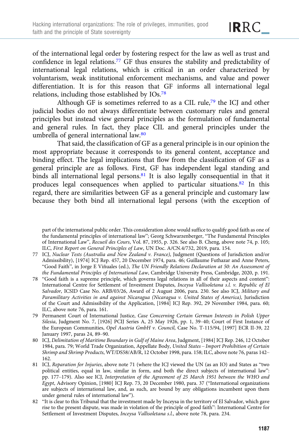of the international legal order by fostering respect for the law as well as trust and confidence in legal relations.<sup>77</sup> GF thus ensures the stability and predictability of international legal relations, which is critical in an order characterized by voluntarism, weak institutional enforcement mechanisms, and value and power differentiation. It is for this reason that GF informs all international legal relations, including those established by IOs.78

Although GF is sometimes referred to as a CIL rule,79 the ICJ and other judicial bodies do not always differentiate between customary rules and general principles but instead view general principles as the formulation of fundamental and general rules. In fact, they place CIL and general principles under the umbrella of general international law.80

That said, the classification of GF as a general principle is in our opinion the most appropriate because it corresponds to its general content, acceptance and binding effect. The legal implications that flow from the classification of GF as a general principle are as follows. First, GF has independent legal standing and binds all international legal persons.<sup>81</sup> It is also legally consequential in that it produces legal consequences when applied to particular situations.82 In this regard, there are similarities between GF as a general principle and customary law because they both bind all international legal persons (with the exception of

IRRC\_

part of the international public order. This consideration alone would suffice to qualify good faith as one of the fundamental principles of international law"; Georg Schwarzenberger, "The Fundamental Principles of International Law", Recueil des Cours, Vol. 87, 1955, p. 326. See also B. Cheng, above note 74, p. 105; ILC, First Report on General Principles of Law, UN Doc. A/CN.4/732, 2019, para. 154.

<sup>77</sup> ICJ, Nuclear Tests (Australia and New Zealand v. France), Judgment (Questions of Jurisdiction and/or Admissibility), [1974] ICJ Rep. 457, 20 December 1974, para. 46; Guillaume Futhazar and Anne Peters, "Good Faith", in Jorge E Viñuales (ed.), The UN Friendly Relations Declaration at 50: An Assessment of the Fundamental Principles of International Law, Cambridge University Press, Cambridge, 2020, p. 191.

<sup>78</sup> "Good faith is a supreme principle, which governs legal relations in all of their aspects and content": International Centre for Settlement of Investment Disputes, Inceysa Vallisoletana s.l. v. Republic of El Salvador, ICSID Case No. ARB/03/26, Award of 2 August 2006, para. 230. See also ICJ, Military and Paramilitary Activities in and against Nicaragua (Nicaragua v. United States of America), Jurisdiction of the Court and Admissibility of the Application, [1984] ICJ Rep. 392, 29 November 1984, para. 60; ILC, above note 76, para. 161.

<sup>79</sup> Permanent Court of International Justice, Case Concerning Certain German Interests in Polish Upper Silesia, Judgment No. 7, [1926] PCIJ Series A, 25 May 1926, pp. 1, 39–40; Court of First Instance of the European Communities, Opel Austria GmbH v. Council, Case No. T-115/94, [1997] ECR II-39, 22 January 1997, paras 24, 89–90.

<sup>80</sup> ICJ, Delimitation of Maritime Boundary in Gulf of Maine Area, Judgment, [1984] ICJ Rep. 246, 12 October 1984, para. 79; World Trade Organization, Appellate Body, United States – Import Prohibition of Certain Shrimp and Shrimp Products, WT/DS58/AB/R, 12 October 1998, para. 158; ILC, above note 76, paras 142– 162.

<sup>81</sup> ICJ, Reparation for Injuries, above note 71 (where the ICJ viewed the UN (as an IO) and States as "two political entities, equal in law, similar in form, and both the direct subjects of international law": pp. 177–179). Also see ICJ, Interpretation of the Agreement of 25 March 1951 between the WHO and Egypt, Advisory Opinion, [1980] ICJ Rep. 73, 20 December 1980, para. 37 ("International organizations are subjects of international law, and, as such, are bound by any obligations incumbent upon them under general rules of international law").

<sup>82</sup> "It is clear to this Tribunal that the investment made by Inceysa in the territory of El Salvador, which gave rise to the present dispute, was made in violation of the principle of good faith": International Centre for Settlement of Investment Disputes, Inceysa Vallisoletana s.l., above note 78, para. 234.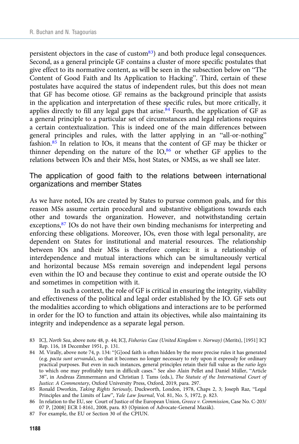persistent objectors in the case of custom $83$  and both produce legal consequences. Second, as a general principle GF contains a cluster of more specific postulates that give effect to its normative content, as will be seen in the subsection below on "The Content of Good Faith and Its Application to Hacking". Third, certain of these postulates have acquired the status of independent rules, but this does not mean that GF has become otiose. GF remains as the background principle that assists in the application and interpretation of these specific rules, but more critically, it applies directly to fill any legal gaps that arise.<sup>84</sup> Fourth, the application of GF as a general principle to a particular set of circumstances and legal relations requires a certain contextualization. This is indeed one of the main differences between general principles and rules, with the latter applying in an "all-or-nothing" fashion.85 In relation to IOs, it means that the content of GF may be thicker or thinner depending on the nature of the  $IO<sub>,86</sub>$  or whether GF applies to the relations between IOs and their MSs, host States, or NMSs, as we shall see later.

#### The application of good faith to the relations between international organizations and member States

As we have noted, IOs are created by States to pursue common goals, and for this reason MSs assume certain procedural and substantive obligations towards each other and towards the organization. However, and notwithstanding certain exceptions,<sup>87</sup> IOs do not have their own binding mechanisms for interpreting and enforcing these obligations. Moreover, IOs, even those with legal personality, are dependent on States for institutional and material resources. The relationship between IOs and their MSs is therefore complex: it is a relationship of interdependence and mutual interactions which can be simultaneously vertical and horizontal because MSs remain sovereign and independent legal persons even within the IO and because they continue to exist and operate outside the IO and sometimes in competition with it.

In such a context, the role of GF is critical in ensuring the integrity, viability and effectiveness of the political and legal order established by the IO. GF sets out the modalities according to which obligations and interactions are to be performed in order for the IO to function and attain its objectives, while also maintaining its integrity and independence as a separate legal person.

- 83 ICJ, North Sea, above note 48, p. 44; ICJ, Fisheries Case (United Kingdom v. Norway) (Merits), [1951] ICJ Rep. 116, 18 December 1951, p. 131.
- 84 M. Virally, above note 74, p. 134: "[G]ood faith is often hidden by the more precise rules it has generated (e.g. pacta sunt servanda), so that it becomes no longer necessary to rely upon it expressly for ordinary practical purposes. But even in such instances, general principles retain their full value as the ratio legis to which one may profitably turn in difficult cases." See also Alain Pellet and Daniel Müller, "Article 38", in Andreas Zimmermann and Christian J. Tams (eds.), The Statute of the International Court of Justice: A Commentary, Oxford University Press, Oxford, 2019, para. 297.
- 85 Ronald Dworkin, Taking Rights Seriously, Duckworth, London, 1978, Chaps 2, 3; Joseph Raz, "Legal Principles and the Limits of Law", Yale Law Journal, Vol. 81, No. 5, 1972, p. 823.
- 86 In relation to the EU, see Court of Justice of the European Union, Greece v. Commission, Case No. C-203/ 07 P, [2008] ECR I-8161, 2008, para. 83 (Opinion of Advocate-General Mazák).
- 87 For example, the EU or Section 30 of the CPIUN.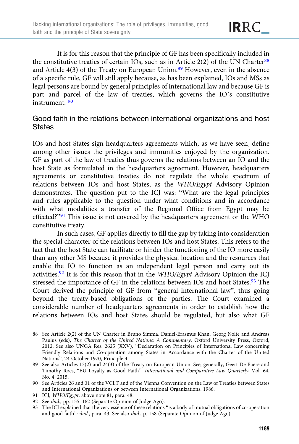It is for this reason that the principle of GF has been specifically included in the constitutive treaties of certain IOs, such as in Article  $2(2)$  of the UN Charter<sup>88</sup> and Article  $4(3)$  of the Treaty on European Union.<sup>89</sup> However, even in the absence of a specific rule, GF will still apply because, as has been explained, IOs and MSs as legal persons are bound by general principles of international law and because GF is part and parcel of the law of treaties, which governs the IO's constitutive instrument. <sup>90</sup>

# Good faith in the relations between international organizations and host **States**

IOs and host States sign headquarters agreements which, as we have seen, define among other issues the privileges and immunities enjoyed by the organization. GF as part of the law of treaties thus governs the relations between an IO and the host State as formulated in the headquarters agreement. However, headquarters agreements or constitutive treaties do not regulate the whole spectrum of relations between IOs and host States, as the WHO/Egypt Advisory Opinion demonstrates. The question put to the ICJ was: "What are the legal principles and rules applicable to the question under what conditions and in accordance with what modalities a transfer of the Regional Office from Egypt may be effected?"<sup>91</sup> This issue is not covered by the headquarters agreement or the WHO constitutive treaty.

In such cases, GF applies directly to fill the gap by taking into consideration the special character of the relations between IOs and host States. This refers to the fact that the host State can facilitate or hinder the functioning of the IO more easily than any other MS because it provides the physical location and the resources that enable the IO to function as an independent legal person and carry out its activities.<sup>92</sup> It is for this reason that in the  $WHO/Egypt$  Advisory Opinion the ICJ stressed the importance of GF in the relations between IOs and host States.<sup>93</sup> The Court derived the principle of GF from "general international law", thus going beyond the treaty-based obligations of the parties. The Court examined a considerable number of headquarters agreements in order to establish how the relations between IOs and host States should be regulated, but also what GF

- 91 ICJ, WHO/Egypt, above note 81, para. 48.
- 92 See ibid., pp. 155–162 (Separate Opinion of Judge Ago).
- 93 The ICJ explained that the very essence of these relations "is a body of mutual obligations of co-operation and good faith": ibid., para. 43. See also ibid., p. 158 (Separate Opinion of Judge Ago).

<sup>88</sup> See Article 2(2) of the UN Charter in Bruno Simma, Daniel-Erasmus Khan, Georg Nolte and Andreas Paulus (eds), The Charter of the United Nations: A Commentary, Oxford University Press, Oxford, 2012. See also UNGA Res. 2625 (XXV), "Declaration on Principles of International Law concerning Friendly Relations and Co-operation among States in Accordance with the Charter of the United Nations", 24 October 1970, Principle 4.

<sup>89</sup> See also Articles 13(2) and 24(3) of the Treaty on European Union. See, generally, Geert De Baere and Timothy Roes, "EU Loyalty as Good Faith", International and Comparative Law Quarterly, Vol. 64, No. 4, 2015.

<sup>90</sup> See Articles 26 and 31 of the VCLT and of the Vienna Convention on the Law of Treaties between States and International Organizations or between International Organizations, 1986.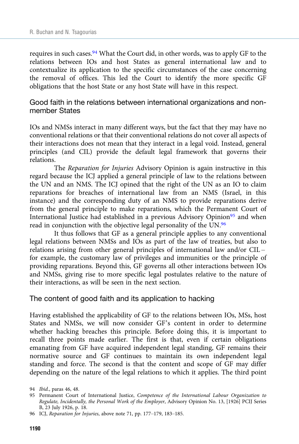requires in such cases.<sup>94</sup> What the Court did, in other words, was to apply GF to the relations between IOs and host States as general international law and to contextualize its application to the specific circumstances of the case concerning the removal of offices. This led the Court to identify the more specific GF obligations that the host State or any host State will have in this respect.

Good faith in the relations between international organizations and nonmember States

IOs and NMSs interact in many different ways, but the fact that they may have no conventional relations or that their conventional relations do not cover all aspects of their interactions does not mean that they interact in a legal void. Instead, general principles (and CIL) provide the default legal framework that governs their relations.

The Reparation for Injuries Advisory Opinion is again instructive in this regard because the ICJ applied a general principle of law to the relations between the UN and an NMS. The ICJ opined that the right of the UN as an IO to claim reparations for breaches of international law from an NMS (Israel, in this instance) and the corresponding duty of an NMS to provide reparations derive from the general principle to make reparations, which the Permanent Court of International Justice had established in a previous Advisory Opinion<sup>95</sup> and when read in conjunction with the objective legal personality of the UN.96

It thus follows that GF as a general principle applies to any conventional legal relations between NMSs and IOs as part of the law of treaties, but also to relations arising from other general principles of international law and/or CIL – for example, the customary law of privileges and immunities or the principle of providing reparations. Beyond this, GF governs all other interactions between IOs and NMSs, giving rise to more specific legal postulates relative to the nature of their interactions, as will be seen in the next section.

#### The content of good faith and its application to hacking

Having established the applicability of GF to the relations between IOs, MSs, host States and NMSs, we will now consider GF's content in order to determine whether hacking breaches this principle. Before doing this, it is important to recall three points made earlier. The first is that, even if certain obligations emanating from GF have acquired independent legal standing, GF remains their normative source and GF continues to maintain its own independent legal standing and force. The second is that the content and scope of GF may differ depending on the nature of the legal relations to which it applies. The third point

<sup>94</sup> Ibid., paras 46, 48.

<sup>95</sup> Permanent Court of International Justice, Competence of the International Labour Organization to Regulate, Incidentally, the Personal Work of the Employer, Advisory Opinion No. 13, [1926] PCIJ Series B, 23 July 1926, p. 18.

<sup>96</sup> ICJ, Reparation for Injuries, above note 71, pp. 177–179, 183–185.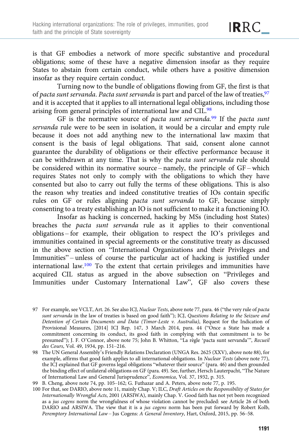**IRRC** 

is that GF embodies a network of more specific substantive and procedural obligations; some of these have a negative dimension insofar as they require States to abstain from certain conduct, while others have a positive dimension insofar as they require certain conduct.

Turning now to the bundle of obligations flowing from GF, the first is that of pacta sunt servanda. Pacta sunt servanda is part and parcel of the law of treaties,  $97$ and it is accepted that it applies to all international legal obligations, including those arising from general principles of international law and CIL.<sup>98</sup>

GF is the normative source of pacta sunt servanda.<sup>99</sup> If the pacta sunt servanda rule were to be seen in isolation, it would be a circular and empty rule because it does not add anything new to the international law maxim that consent is the basis of legal obligations. That said, consent alone cannot guarantee the durability of obligations or their effective performance because it can be withdrawn at any time. That is why the pacta sunt servanda rule should be considered within its normative source – namely, the principle of GF – which requires States not only to comply with the obligations to which they have consented but also to carry out fully the terms of these obligations. This is also the reason why treaties and indeed constitutive treaties of IOs contain specific rules on GF or rules aligning pacta sunt servanda to GF, because simply consenting to a treaty establishing an IO is not sufficient to make it a functioning IO.

Insofar as hacking is concerned, hacking by MSs (including host States) breaches the pacta sunt servanda rule as it applies to their conventional obligations – for example, their obligation to respect the IO's privileges and immunities contained in special agreements or the constitutive treaty as discussed in the above section on "International Organizations and their Privileges and Immunities" – unless of course the particular act of hacking is justified under international law.100 To the extent that certain privileges and immunities have acquired CIL status as argued in the above subsection on "Privileges and Immunities under Customary International Law", GF also covers these

<sup>97</sup> For example, see VCLT, Art. 26. See also ICJ, Nuclear Tests, above note 77, para. 46 ("the very rule of pacta sunt servanda in the law of treaties is based on good faith"); ICJ, Questions Relating to the Seizure and Detention of Certain Documents and Data (Timor-Leste v. Australia), Request for the Indication of Provisional Measures, [2014] ICJ Rep. 147, 3 March 2014, para. 44 ("Once a State has made a commitment concerning its conduct, its good faith in complying with that commitment is to be presumed"); J. F. O'Connor, above note 75; John B. Whitton, "La règle 'pacta sunt servanda'", Recueil des Cours, Vol. 49, 1934, pp. 151–216.

<sup>98</sup> The UN General Assembly's Friendly Relations Declaration (UNGA Res. 2625 (XXV), above note 88), for example, affirms that good faith applies to all international obligations. In Nuclear Tests (above note 77), the ICJ explained that GF governs legal obligations "whatever their source" (para. 46) and then grounded the binding effect of unilateral obligations on GF (para. 49). See, further, Hersch Lauterpacht, "The Nature of International Law and General Jurisprudence", Economica, Vol. 37, 1932, p. 315.

<sup>99</sup> B. Cheng, above note 74, pp. 105–162; G. Futhazar and A. Peters, above note 77, p. 195.

<sup>100</sup> For that, see DARIO, above note 11, mainly Chap. V; ILC, Draft Articles on the Responsibility of States for Internationally Wrongful Acts, 2001 (ARSIWA), mainly Chap. V. Good faith has not yet been recognized as a jus cogens norm the wrongfulness of whose violation cannot be precluded: see Article 26 of both DARIO and ARSIWA. The view that it is a jus cogens norm has been put forward by Robert Kolb, Peremptory International Law – Jus Cogens: A General Inventory, Hart, Oxford, 2015, pp. 56–58.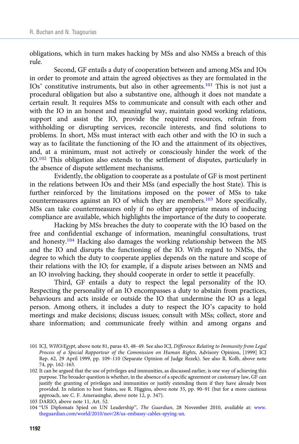obligations, which in turn makes hacking by MSs and also NMSs a breach of this rule.

Second, GF entails a duty of cooperation between and among MSs and IOs in order to promote and attain the agreed objectives as they are formulated in the IOs' constitutive instruments, but also in other agreements.<sup>101</sup> This is not just a procedural obligation but also a substantive one, although it does not mandate a certain result. It requires MSs to communicate and consult with each other and with the IO in an honest and meaningful way, maintain good working relations, support and assist the IO, provide the required resources, refrain from withholding or disrupting services, reconcile interests, and find solutions to problems. In short, MSs must interact with each other and with the IO in such a way as to facilitate the functioning of the IO and the attainment of its objectives, and, at a minimum, must not actively or consciously hinder the work of the IO.102 This obligation also extends to the settlement of disputes, particularly in the absence of dispute settlement mechanisms.

Evidently, the obligation to cooperate as a postulate of GF is most pertinent in the relations between IOs and their MSs (and especially the host State). This is further reinforced by the limitations imposed on the power of MSs to take countermeasures against an IO of which they are members.103 More specifically, MSs can take countermeasures only if no other appropriate means of inducing compliance are available, which highlights the importance of the duty to cooperate.

Hacking by MSs breaches the duty to cooperate with the IO based on the free and confidential exchange of information, meaningful consultations, trust and honesty.<sup>104</sup> Hacking also damages the working relationship between the MS and the IO and disrupts the functioning of the IO. With regard to NMSs, the degree to which the duty to cooperate applies depends on the nature and scope of their relations with the IO; for example, if a dispute arises between an NMS and an IO involving hacking, they should cooperate in order to settle it peacefully.

Third, GF entails a duty to respect the legal personality of the IO. Respecting the personality of an IO encompasses a duty to abstain from practices, behaviours and acts inside or outside the IO that undermine the IO as a legal person. Among others, it includes a duty to respect the IO's capacity to hold meetings and make decisions; discuss issues; consult with MSs; collect, store and share information; and communicate freely within and among organs and

<sup>101</sup> ICJ, WHO/Egypt, above note 81, paras 43, 48–49. See also ICJ, Difference Relating to Immunity from Legal Process of a Special Rapporteur of the Commission on Human Rights, Advisory Opinion, [1999] ICJ Rep. 62, 29 April 1999, pp. 109–110 (Separate Opinion of Judge Rezek). See also R. Kolb, above note 74, pp. 162–163.

<sup>102</sup> It can be argued that the use of privileges and immunities, as discussed earlier, is one way of achieving this purpose. The broader question is whether, in the absence of a specific agreement or customary law, GF can justify the granting of privileges and immunities or justify extending them if they have already been provided. In relation to host States, see R. Higgins, above note 35, pp. 90–91 (but for a more cautious approach, see C. F. Amerasinghe, above note 12, p. 347).

<sup>103</sup> DARIO, above note 11, Art. 52.

<sup>104</sup> "US Diplomats Spied on UN Leadership", The Guardian, 28 November 2010, available at: [www.](https://www.theguardian.com/world/2010/nov/28/us-embassy-cables-spying-un) [theguardian.com/world/2010/nov/28/us-embassy-cables-spying-un.](https://www.theguardian.com/world/2010/nov/28/us-embassy-cables-spying-un)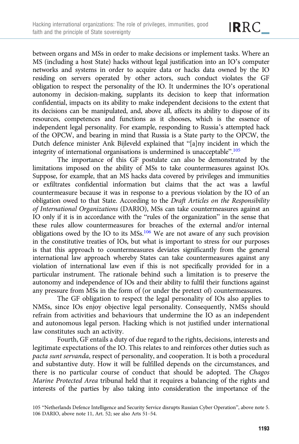between organs and MSs in order to make decisions or implement tasks. Where an MS (including a host State) hacks without legal justification into an IO's computer networks and systems in order to acquire data or hacks data owned by the IO residing on servers operated by other actors, such conduct violates the GF obligation to respect the personality of the IO. It undermines the IO's operational autonomy in decision-making, supplants its decision to keep that information confidential, impacts on its ability to make independent decisions to the extent that its decisions can be manipulated, and, above all, affects its ability to dispose of its resources, competences and functions as it chooses, which is the essence of independent legal personality. For example, responding to Russia's attempted hack of the OPCW, and bearing in mind that Russia is a State party to the OPCW, the Dutch defence minister Ank Bijleveld explained that "[a]ny incident in which the integrity of international organisations is undermined is unacceptable".<sup>105</sup>

The importance of this GF postulate can also be demonstrated by the limitations imposed on the ability of MSs to take countermeasures against IOs. Suppose, for example, that an MS hacks data covered by privileges and immunities or exfiltrates confidential information but claims that the act was a lawful countermeasure because it was in response to a previous violation by the IO of an obligation owed to that State. According to the Draft Articles on the Responsibility of International Organizations (DARIO), MSs can take countermeasures against an IO only if it is in accordance with the "rules of the organization" in the sense that these rules allow countermeasures for breaches of the external and/or internal obligations owed by the IO to its MSs.106 We are not aware of any such provision in the constitutive treaties of IOs, but what is important to stress for our purposes is that this approach to countermeasures deviates significantly from the general international law approach whereby States can take countermeasures against any violation of international law even if this is not specifically provided for in a particular instrument. The rationale behind such a limitation is to preserve the autonomy and independence of IOs and their ability to fulfil their functions against any pressure from MSs in the form of (or under the pretext of) countermeasures.

The GF obligation to respect the legal personality of IOs also applies to NMSs, since IOs enjoy objective legal personality. Consequently, NMSs should refrain from activities and behaviours that undermine the IO as an independent and autonomous legal person. Hacking which is not justified under international law constitutes such an activity.

Fourth, GF entails a duty of due regard to the rights, decisions, interests and legitimate expectations of the IO. This relates to and reinforces other duties such as pacta sunt servanda, respect of personality, and cooperation. It is both a procedural and substantive duty. How it will be fulfilled depends on the circumstances, and there is no particular course of conduct that should be adopted. The Chagos Marine Protected Area tribunal held that it requires a balancing of the rights and interests of the parties by also taking into consideration the importance of the

<sup>105</sup> "Netherlands Defence Intelligence and Security Service disrupts Russian Cyber Operation", above note 5. 106 DARIO, above note 11, Art. 52; see also Arts 51–54.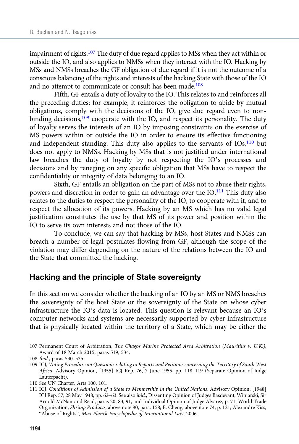impairment of rights.107 The duty of due regard applies to MSs when they act within or outside the IO, and also applies to NMSs when they interact with the IO. Hacking by MSs and NMSs breaches the GF obligation of due regard if it is not the outcome of a conscious balancing of the rights and interests of the hacking State with those of the IO and no attempt to communicate or consult has been made.<sup>108</sup>

Fifth, GF entails a duty of loyalty to the IO. This relates to and reinforces all the preceding duties; for example, it reinforces the obligation to abide by mutual obligations, comply with the decisions of the IO, give due regard even to nonbinding decisions,<sup>109</sup> cooperate with the IO, and respect its personality. The duty of loyalty serves the interests of an IO by imposing constraints on the exercise of MS powers within or outside the IO in order to ensure its effective functioning and independent standing. This duty also applies to the servants of IOs,<sup>110</sup> but does not apply to NMSs. Hacking by MSs that is not justified under international law breaches the duty of loyalty by not respecting the IO's processes and decisions and by reneging on any specific obligation that MSs have to respect the confidentiality or integrity of data belonging to an IO.

Sixth, GF entails an obligation on the part of MSs not to abuse their rights, powers and discretion in order to gain an advantage over the IO.111 This duty also relates to the duties to respect the personality of the IO, to cooperate with it, and to respect the allocation of its powers. Hacking by an MS which has no valid legal justification constitutes the use by that MS of its power and position within the IO to serve its own interests and not those of the IO.

To conclude, we can say that hacking by MSs, host States and NMSs can breach a number of legal postulates flowing from GF, although the scope of the violation may differ depending on the nature of the relations between the IO and the State that committed the hacking.

# Hacking and the principle of State sovereignty

In this section we consider whether the hacking of an IO by an MS or NMS breaches the sovereignty of the host State or the sovereignty of the State on whose cyber infrastructure the IO's data is located. This question is relevant because an IO's computer networks and systems are necessarily supported by cyber infrastructure that is physically located within the territory of a State, which may be either the

<sup>107</sup> Permanent Court of Arbitration, The Chagos Marine Protected Area Arbitration (Mauritius v. U.K.), Award of 18 March 2015, paras 519, 534.

<sup>108</sup> Ibid., paras 530–535.

<sup>109</sup> ICJ, Voting Procedure on Questions relating to Reports and Petitions concerning the Territory of South West Africa, Advisory Opinion, [1955] ICJ Rep. 76, 7 June 1955, pp. 118–119 (Separate Opinion of Judge Lauterpacht).

<sup>110</sup> See UN Charter, Arts 100, 101.

<sup>111</sup> ICJ, Conditions of Admission of a State to Membership in the United Nations, Advisory Opinion, [1948] ICJ Rep. 57, 28 May 1948, pp. 62–63. See also ibid., Dissenting Opinion of Judges Basdevant, Winiarski, Sir Arnold McNair and Read, paras 20, 83, 91, and Individual Opinion of Judge Alvarez, p. 71; World Trade Organization, Shrimp Products, above note 80, para. 158; B. Cheng, above note 74, p. 121; Alexandre Kiss, "Abuse of Rights", Max Planck Encyclopedia of International Law, 2006.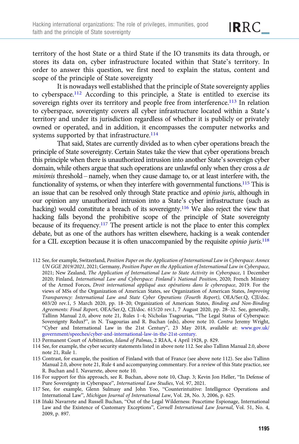territory of the host State or a third State if the IO transmits its data through, or stores its data on, cyber infrastructure located within that State's territory. In order to answer this question, we first need to explain the status, content and scope of the principle of State sovereignty

It is nowadays well established that the principle of State sovereignty applies to cyberspace.112 According to this principle, a State is entitled to exercise its sovereign rights over its territory and people free from interference.<sup>113</sup> In relation to cyberspace, sovereignty covers all cyber infrastructure located within a State's territory and under its jurisdiction regardless of whether it is publicly or privately owned or operated, and in addition, it encompasses the computer networks and systems supported by that infrastructure.<sup>114</sup>

That said, States are currently divided as to when cyber operations breach the principle of State sovereignty. Certain States take the view that cyber operations breach this principle when there is unauthorized intrusion into another State's sovereign cyber domain, while others argue that such operations are unlawful only when they cross a de minimis threshold – namely, when they cause damage to, or at least interfere with, the functionality of systems, or when they interfere with governmental functions.115 This is an issue that can be resolved only through State practice and opinio juris, although in our opinion any unauthorized intrusion into a State's cyber infrastructure (such as hacking) would constitute a breach of its sovereignty.<sup>116</sup> We also reject the view that hacking falls beyond the prohibitive scope of the principle of State sovereignty because of its frequency.<sup>117</sup> The present article is not the place to enter this complex debate, but as one of the authors has written elsewhere, hacking is a weak contender for a CIL exception because it is often unaccompanied by the requisite opinio juris.<sup>118</sup>

- 112 See, for example, Switzerland, Position Paper on the Application of International Law in Cyberspace: Annex UN GGE 2019/2021, 2021; Germany, Position Paper on the Application of International Law in Cyberspace, 2021; New Zealand, The Application of International Law to State Activity in Cyberspace, 1 December 2020; Finland, International Law and Cyberspace: Finland's National Position, 2020; French Ministry of the Armed Forces, Droit international appliqué aux opérations dans le cyberespace, 2019. For the views of MSs of the Organization of American States, see Organization of American States, Improving Transparency: International Law and State Cyber Operations (Fourth Report), OEA/Ser.Q, CJI/doc. 603/20 rev.1, 5 March 2020, pp. 18–20; Organization of American States, Binding and Non-Binding Agreements: Final Report, OEA/Ser.Q, CJI/doc. 615/20 rev.1, 7 August 2020, pp. 28–32. See, generally, Tallinn Manual 2.0, above note 21, Rules 1–4; Nicholas Tsagourias, "The Legal Status of Cyberspace: Sovereignty Redux?", in N. Tsagourias and R. Buchan (eds), above note 10. Contra Jeremy Wright, "Cyber and International Law in the 21st Century", 23 May 2018, available at: [www.gov.uk/](https://www.gov.uk/government/speeches/cyber-and-international-law-in-the-21st-century) [government/speeches/cyber-and-international-law-in-the-21st-century](https://www.gov.uk/government/speeches/cyber-and-international-law-in-the-21st-century).
- 113 Permanent Court of Arbitration, Island of Palmas, 2 RIAA, 4 April 1928, p. 829.
- 114 See, for example, the cyber security statements listed in above note 112. See also Tallinn Manual 2.0, above note 21, Rule 1.
- 115 Contrast, for example, the position of Finland with that of France (see above note 112). See also Tallinn Manual 2.0, above note 21, Rule 4 and accompanying commentary. For a review of this State practice, see R. Buchan and I. Navarrete, above note 10.
- 116 For support for this approach, see R. Buchan, above note 10, Chap. 3; Kevin Jon Heller, "In Defense of Pure Sovereignty in Cyberspace", International Law Studies, Vol. 97, 2021.
- 117 See, for example, Glenn Sulmasy and John Yoo, "Counterintuitive: Intelligence Operations and International Law", Michigan Journal of International Law, Vol. 28, No. 3, 2006, p. 625.
- 118 Iñaki Navarrete and Russell Buchan, "Out of the Legal Wilderness: Peacetime Espionage, International Law and the Existence of Customary Exceptions", Cornell International Law Journal, Vol. 51, No. 4, 2009, p. 897.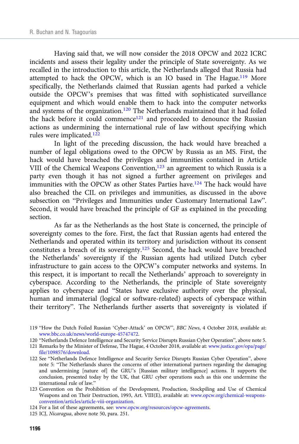Having said that, we will now consider the 2018 OPCW and 2022 ICRC incidents and assess their legality under the principle of State sovereignty. As we recalled in the introduction to this article, the Netherlands alleged that Russia had attempted to hack the OPCW, which is an IO based in The Hague.119 More specifically, the Netherlands claimed that Russian agents had parked a vehicle outside the OPCW's premises that was fitted with sophisticated surveillance equipment and which would enable them to hack into the computer networks and systems of the organization.<sup>120</sup> The Netherlands maintained that it had foiled the hack before it could commence<sup>121</sup> and proceeded to denounce the Russian actions as undermining the international rule of law without specifying which rules were implicated.<sup>122</sup>

In light of the preceding discussion, the hack would have breached a number of legal obligations owed to the OPCW by Russia as an MS. First, the hack would have breached the privileges and immunities contained in Article VIII of the Chemical Weapons Convention,<sup>123</sup> an agreement to which Russia is a party even though it has not signed a further agreement on privileges and immunities with the OPCW as other States Parties have.<sup>124</sup> The hack would have also breached the CIL on privileges and immunities, as discussed in the above subsection on "Privileges and Immunities under Customary International Law". Second, it would have breached the principle of GF as explained in the preceding section.

As far as the Netherlands as the host State is concerned, the principle of sovereignty comes to the fore. First, the fact that Russian agents had entered the Netherlands and operated within its territory and jurisdiction without its consent constitutes a breach of its sovereignty.125 Second, the hack would have breached the Netherlands' sovereignty if the Russian agents had utilized Dutch cyber infrastructure to gain access to the OPCW's computer networks and systems. In this respect, it is important to recall the Netherlands' approach to sovereignty in cyberspace. According to the Netherlands, the principle of State sovereignty applies to cyberspace and "States have exclusive authority over the physical, human and immaterial (logical or software-related) aspects of cyberspace within their territory". The Netherlands further asserts that sovereignty is violated if

- 120 "Netherlands Defence Intelligence and Security Service Disrupts Russian Cyber Operation", above note 5.
- 121 Remarks by the Minister of Defense, The Hague, 4 October 2018, available at: [www.justice.gov/opa/page/](https://www.justice.gov/opa/page/file/1098576/download) [file/1098576/download.](https://www.justice.gov/opa/page/file/1098576/download)
- 122 See "Netherlands Defence Intelligence and Security Service Disrupts Russian Cyber Operation", above note 5: "The Netherlands shares the concerns of other international partners regarding the damaging and undermining [nature of] the GRU's [Russian military intelligence] actions. It supports the conclusion, presented today by the UK, that GRU cyber operations such as this one undermine the international rule of law."
- 123 Convention on the Prohibition of the Development, Production, Stockpiling and Use of Chemical Weapons and on Their Destruction, 1993, Art. VIII(E), available at: [www.opcw.org/chemical-weapons](https://www.opcw.org/chemical-weapons-convention/articles/article-viii-organization)[convention/articles/article-viii-organization.](https://www.opcw.org/chemical-weapons-convention/articles/article-viii-organization)

124 For a list of these agreements, see: [www.opcw.org/resources/opcw-agreements.](https://www.opcw.org/resources/opcw-agreements)

125 ICJ, Nicaragua, above note 50, para. 251.

<sup>119</sup> "How the Dutch Foiled Russian 'Cyber-Attack' on OPCW", BBC News, 4 October 2018, available at: [www.bbc.co.uk/news/world-europe-45747472](https://www.bbc.co.uk/news/world-europe-45747472).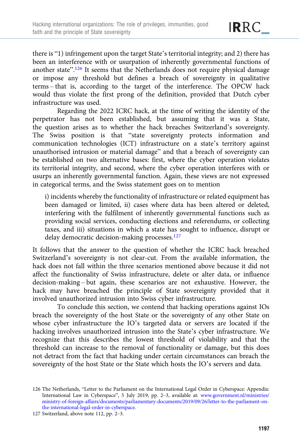there is "1) infringement upon the target State's territorial integrity; and 2) there has been an interference with or usurpation of inherently governmental functions of another state".<sup>126</sup> It seems that the Netherlands does not require physical damage or impose any threshold but defines a breach of sovereignty in qualitative terms – that is, according to the target of the interference. The OPCW hack would thus violate the first prong of the definition, provided that Dutch cyber infrastructure was used.

Regarding the 2022 ICRC hack, at the time of writing the identity of the perpetrator has not been established, but assuming that it was a State, the question arises as to whether the hack breaches Switzerland's sovereignty. The Swiss position is that "state sovereignty protects information and communication technologies (ICT) infrastructure on a state's territory against unauthorised intrusion or material damage" and that a breach of sovereignty can be established on two alternative bases: first, where the cyber operation violates its territorial integrity, and second, where the cyber operation interferes with or usurps an inherently governmental function. Again, these views are not expressed in categorical terms, and the Swiss statement goes on to mention

i) incidents whereby the functionality of infrastructure or related equipment has been damaged or limited, ii) cases where data has been altered or deleted, interfering with the fulfilment of inherently governmental functions such as providing social services, conducting elections and referendums, or collecting taxes, and iii) situations in which a state has sought to influence, disrupt or delay democratic decision-making processes.<sup>127</sup>

It follows that the answer to the question of whether the ICRC hack breached Switzerland's sovereignty is not clear-cut. From the available information, the hack does not fall within the three scenarios mentioned above because it did not affect the functionality of Swiss infrastructure, delete or alter data, or influence decision-making – but again, these scenarios are not exhaustive. However, the hack may have breached the principle of State sovereignty provided that it involved unauthorized intrusion into Swiss cyber infrastructure.

To conclude this section, we contend that hacking operations against IOs breach the sovereignty of the host State or the sovereignty of any other State on whose cyber infrastructure the IO's targeted data or servers are located if the hacking involves unauthorized intrusion into the State's cyber infrastructure. We recognize that this describes the lowest threshold of violability and that the threshold can increase to the removal of functionality or damage, but this does not detract from the fact that hacking under certain circumstances can breach the sovereignty of the host State or the State which hosts the IO's servers and data.

<sup>126</sup> The Netherlands, "Letter to the Parliament on the International Legal Order in Cyberspace: Appendix: International Law in Cyberspace", 5 July 2019, pp. 2–3, available at: [www.government.nl/ministries/](http://www.government.nl/ministries/ministry-of-foreign-affairs/documents/parliamentary-documents/2019/09/26/letter-to-the-parliament-on-the-international-legal-order-in-cyberspace) [ministry-of-foreign-affairs/documents/parliamentary-documents/2019/09/26/letter-to-the-parliament-on](http://www.government.nl/ministries/ministry-of-foreign-affairs/documents/parliamentary-documents/2019/09/26/letter-to-the-parliament-on-the-international-legal-order-in-cyberspace)[the-international-legal-order-in-cyberspace.](http://www.government.nl/ministries/ministry-of-foreign-affairs/documents/parliamentary-documents/2019/09/26/letter-to-the-parliament-on-the-international-legal-order-in-cyberspace)

<sup>127</sup> Switzerland, above note 112, pp. 2–3.